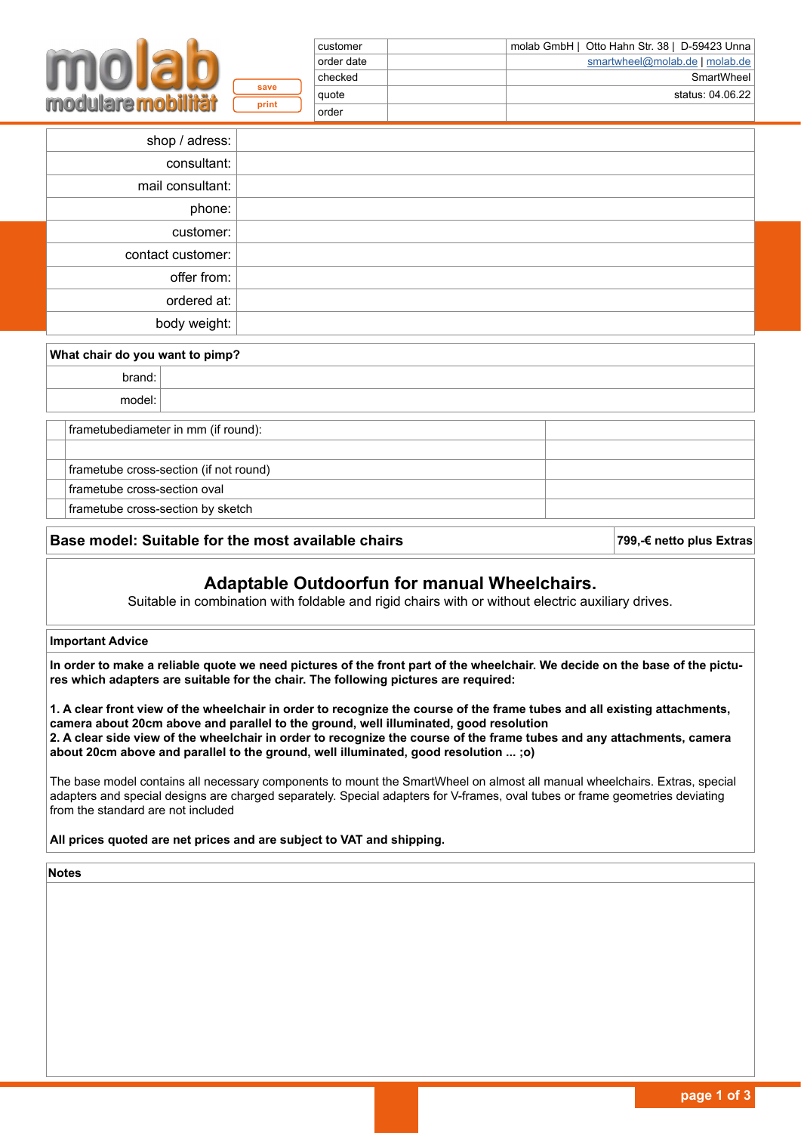| molab GmbH   Otto Hahn Str. 38   D-59423 Unna | customer   |       |  |  |  |
|-----------------------------------------------|------------|-------|--|--|--|
| smartwheel@molab.de   molab.de                | order date |       |  |  |  |
| SmartWheel                                    | checked    |       |  |  |  |
| status: 04.06.22                              | auote      | save  |  |  |  |
|                                               | order      | print |  |  |  |

| shop / adress:    |  |
|-------------------|--|
| consultant:       |  |
| mail consultant:  |  |
| phone:            |  |
| customer:         |  |
| contact customer: |  |
| offer from:       |  |
| ordered at:       |  |
| body weight:      |  |

| What chair do you want to pimp?        |                                   |  |  |  |
|----------------------------------------|-----------------------------------|--|--|--|
| brand:                                 |                                   |  |  |  |
|                                        | model:                            |  |  |  |
| frametubediameter in mm (if round):    |                                   |  |  |  |
| frametube cross-section (if not round) |                                   |  |  |  |
| frametube cross-section oval           |                                   |  |  |  |
|                                        | frametube cross-section by sketch |  |  |  |

### **Base model: Suitable for the most available chairs 799,€ netto plus Extras**

### **Adaptable Outdoorfun for manual Wheelchairs.**

Suitable in combination with foldable and rigid chairs with or without electric auxiliary drives.

### **Important Advice**

**In order to make a reliable quote we need pictures of the front part of the wheelchair. We decide on the base of the pictures which adapters are suitable for the chair. The following pictures are required:**

**1. A clear front view of the wheelchair in order to recognize the course of the frame tubes and all existing attachments, camera about 20cm above and parallel to the ground, well illuminated, good resolution 2. A clear side view of the wheelchair in order to recognize the course of the frame tubes and any attachments, camera about 20cm above and parallel to the ground, well illuminated, good resolution ... ;o)**

The base model contains all necessary components to mount the SmartWheel on almost all manual wheelchairs. Extras, special adapters and special designs are charged separately. Special adapters for V-frames, oval tubes or frame geometries deviating from the standard are not included

**All prices quoted are net prices and are subject to VAT and shipping.**

**Notes**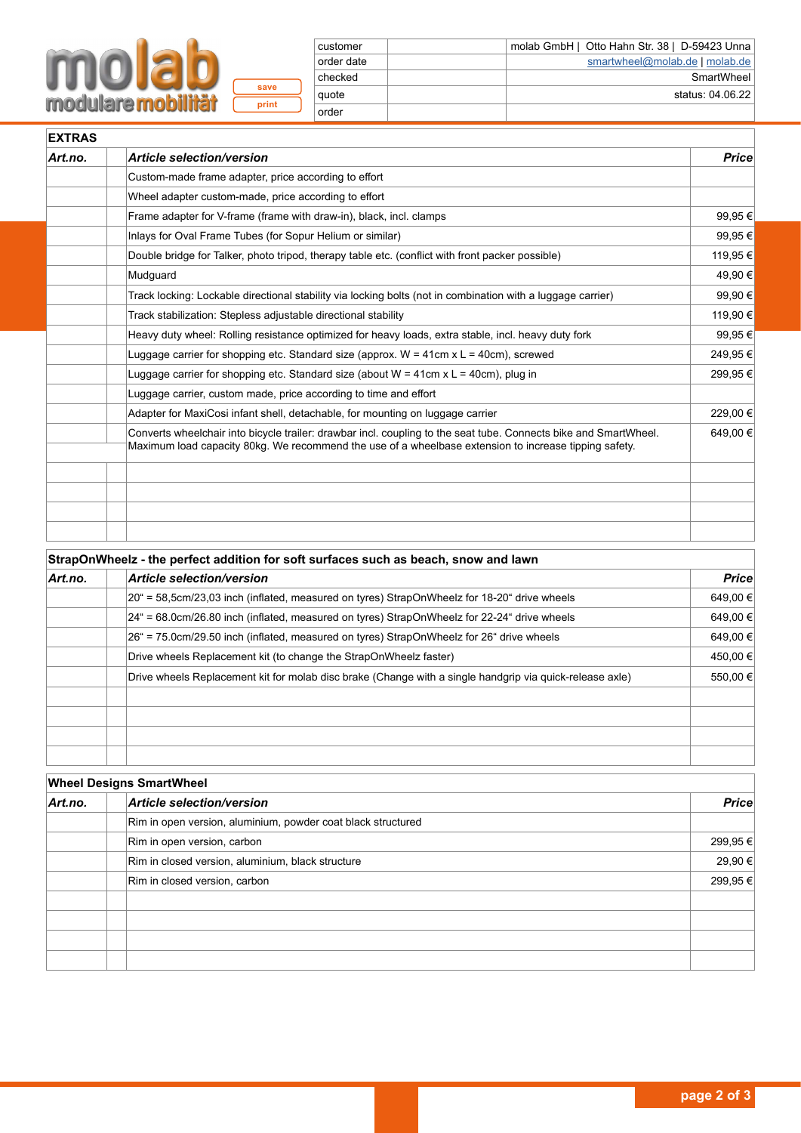# **MOLab**

**print save**

| customer   | molab GmbH   Otto Hahn Str. 38   D-59423 Unna |
|------------|-----------------------------------------------|
| order date | smartwheel@molab.de   molab.de                |
| checked    | SmartWheel                                    |
| quote      | status: 04.06.22                              |
| order      |                                               |

| Art.no. | <b>Article selection/version</b>                                                                                                                                                                                          | <b>Price</b> |
|---------|---------------------------------------------------------------------------------------------------------------------------------------------------------------------------------------------------------------------------|--------------|
|         | Custom-made frame adapter, price according to effort                                                                                                                                                                      |              |
|         | Wheel adapter custom-made, price according to effort                                                                                                                                                                      |              |
|         | Frame adapter for V-frame (frame with draw-in), black, incl. clamps                                                                                                                                                       | 99,95 €      |
|         | Inlays for Oval Frame Tubes (for Sopur Helium or similar)                                                                                                                                                                 | 99,95 €      |
|         | Double bridge for Talker, photo tripod, therapy table etc. (conflict with front packer possible)                                                                                                                          | 119,95€      |
|         | Mudguard                                                                                                                                                                                                                  | 49,90 €      |
|         | Track locking: Lockable directional stability via locking bolts (not in combination with a luggage carrier)                                                                                                               | 99,90 €      |
|         | Track stabilization: Stepless adjustable directional stability                                                                                                                                                            | 119,90 €     |
|         | Heavy duty wheel: Rolling resistance optimized for heavy loads, extra stable, incl. heavy duty fork                                                                                                                       | 99,95 €      |
|         | Luggage carrier for shopping etc. Standard size (approx. $W = 41$ cm x L = 40cm), screwed                                                                                                                                 | 249,95€      |
|         | Luggage carrier for shopping etc. Standard size (about $W = 41$ cm x L = 40cm), plug in                                                                                                                                   | 299,95€      |
|         | Luggage carrier, custom made, price according to time and effort                                                                                                                                                          |              |
|         | Adapter for MaxiCosi infant shell, detachable, for mounting on luggage carrier                                                                                                                                            | 229,00 €     |
|         | Converts wheelchair into bicycle trailer: drawbar incl. coupling to the seat tube. Connects bike and SmartWheel.<br>Maximum load capacity 80kg. We recommend the use of a wheelbase extension to increase tipping safety. | 649,00€      |
|         |                                                                                                                                                                                                                           |              |
|         |                                                                                                                                                                                                                           |              |
|         |                                                                                                                                                                                                                           |              |

| StrapOnWheelz - the perfect addition for soft surfaces such as beach, snow and lawn |                                                                                                          |          |  |  |
|-------------------------------------------------------------------------------------|----------------------------------------------------------------------------------------------------------|----------|--|--|
| Art.no.                                                                             | <b>Article selection/version</b>                                                                         | Price    |  |  |
|                                                                                     | 20" = 58,5cm/23,03 inch (inflated, measured on tyres) StrapOnWheelz for 18-20" drive wheels              | 649,00 € |  |  |
|                                                                                     | $24^{\circ}$ = 68.0cm/26.80 inch (inflated, measured on tyres) StrapOnWheelz for 22-24 drive wheels      | 649,00 € |  |  |
|                                                                                     | 26" = 75.0cm/29.50 inch (inflated, measured on tyres) StrapOnWheelz for 26" drive wheels                 | 649.00 € |  |  |
|                                                                                     | Drive wheels Replacement kit (to change the StrapOnWheelz faster)                                        | 450,00 € |  |  |
|                                                                                     | Drive wheels Replacement kit for molab disc brake (Change with a single handgrip via quick-release axle) | 550,00 € |  |  |
|                                                                                     |                                                                                                          |          |  |  |
|                                                                                     |                                                                                                          |          |  |  |
|                                                                                     |                                                                                                          |          |  |  |
|                                                                                     |                                                                                                          |          |  |  |

| <b>Wheel Designs SmartWheel</b> |                                                              |          |  |  |
|---------------------------------|--------------------------------------------------------------|----------|--|--|
| Art.no.                         | Article selection/version                                    | Price    |  |  |
|                                 | Rim in open version, aluminium, powder coat black structured |          |  |  |
|                                 | Rim in open version, carbon                                  | 299,95 € |  |  |
|                                 | Rim in closed version, aluminium, black structure            | 29,90 €  |  |  |
|                                 | Rim in closed version, carbon                                | 299,95 € |  |  |
|                                 |                                                              |          |  |  |
|                                 |                                                              |          |  |  |
|                                 |                                                              |          |  |  |
|                                 |                                                              |          |  |  |